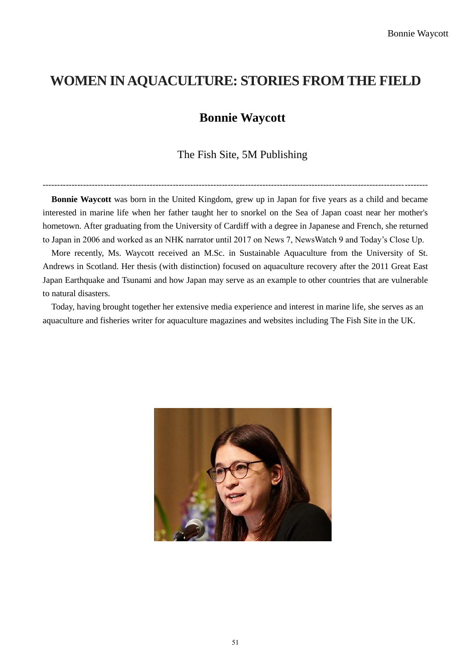# **WOMEN IN AQUACULTURE: STORIES FROM THE FIELD**

## **Bonnie Waycott**

## The Fish Site, 5M Publishing

**Bonnie Waycott** was born in the United Kingdom, grew up in Japan for five years as a child and became interested in marine life when her father taught her to snorkel on the Sea of Japan coast near her mother's hometown. After graduating from the University of Cardiff with a degree in Japanese and French, she returned to Japan in 2006 and worked as an NHK narrator until 2017 on News 7, NewsWatch 9 and Today's Close Up.

-------------------------------------------------------------------------------------------------------------------------------------

More recently, Ms. Waycott received an M.Sc. in Sustainable Aquaculture from the University of St. Andrews in Scotland. Her thesis (with distinction) focused on aquaculture recovery after the 2011 Great East Japan Earthquake and Tsunami and how Japan may serve as an example to other countries that are vulnerable to natural disasters.

Today, having brought together her extensive media experience and interest in marine life, she serves as an aquaculture and fisheries writer for aquaculture magazines and websites including The Fish Site in the UK.

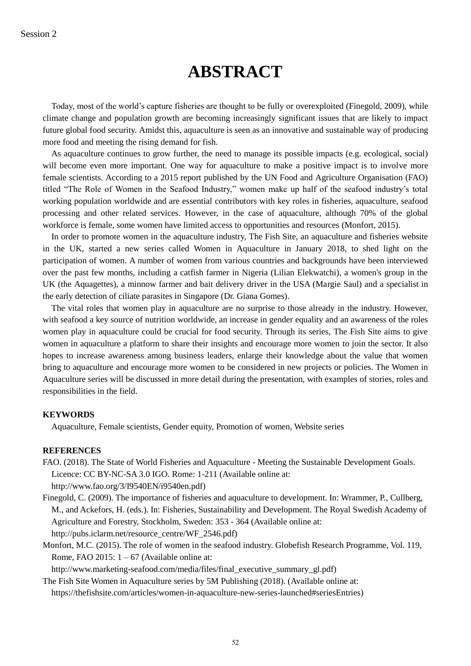# **ABSTRACT**

Today, most of the world's capture fisheries are thought to be fully or overexploited (Finegold, 2009), while climate change and population growth are becoming increasingly significant issues that are likely to impact future global food security. Amidst this, aquaculture is seen as an innovative and sustainable way of producing more food and meeting the rising demand for fish.

As aquaculture continues to grow further, the need to manage its possible impacts (e.g. ecological, social) will become even more important. One way for aquaculture to make a positive impact is to involve more female scientists. According to a 2015 report published by the UN Food and Agriculture Organisation (FAO) titled "The Role of Women in the Seafood Industry," women make up half of the seafood industry's total working population worldwide and are essential contributors with key roles in fisheries, aquaculture, seafood processing and other related services. However, in the case of aquaculture, although 70% of the global workforce is female, some women have limited access to opportunities and resources (Monfort, 2015).

In order to promote women in the aquaculture industry, The Fish Site, an aquaculture and fisheries website in the UK, started a new series called Women in Aquaculture in January 2018, to shed light on the participation of women. A number of women from various countries and backgrounds have been interviewed over the past few months, including a catfish farmer in Nigeria (Lilian Elekwatchi), a women's group in the UK (the Aquagettes), a minnow farmer and bait delivery driver in the USA (Margie Saul) and a specialist in the early detection of ciliate parasites in Singapore (Dr. Giana Gomes).

The vital roles that women play in aquaculture are no surprise to those already in the industry. However, with seafood a key source of nutrition worldwide, an increase in gender equality and an awareness of the roles women play in aquaculture could be crucial for food security. Through its series, The Fish Site aims to give women in aquaculture a platform to share their insights and encourage more women to join the sector. It also hopes to increase awareness among business leaders, enlarge their knowledge about the value that women bring to aquaculture and encourage more women to be considered in new projects or policies. The Women in Aquaculture series will be discussed in more detail during the presentation, with examples of stories, roles and responsibilities in the field.

#### **KEYWORDS**

Aquaculture, Female scientists, Gender equity, Promotion of women, Website series

### **REFERENCES**

- FAO. (2018). The State of World Fisheries and Aquaculture Meeting the Sustainable Development Goals. Licence: CC BY-NC-SA 3.0 IGO. Rome: 1-211 (Available online at: http://www.fao.org/3/I9540EN/i9540en.pdf)
- Finegold, C. (2009). The importance of fisheries and aquaculture to development. In: Wrammer, P., Cullberg, M., and Ackefors, H. (eds.). In: Fisheries, Sustainability and Development. The Royal Swedish Academy of Agriculture and Forestry, Stockholm, Sweden: 353 - 364 (Available online at: http://pubs.iclarm.net/resource\_centre/WF\_2546.pdf)
- Monfort, M.C. (2015). The role of women in the seafood industry. Globefish Research Programme, Vol. 119, Rome, FAO 2015:  $1 - 67$  (Available online at:

http://www.marketing-seafood.com/media/files/final\_executive\_summary\_gl.pdf)

The Fish Site Women in Aquaculture series by 5M Publishing (2018). (Available online at: https://thefishsite.com/articles/women-in-aquaculture-new-series-launched#seriesEntries)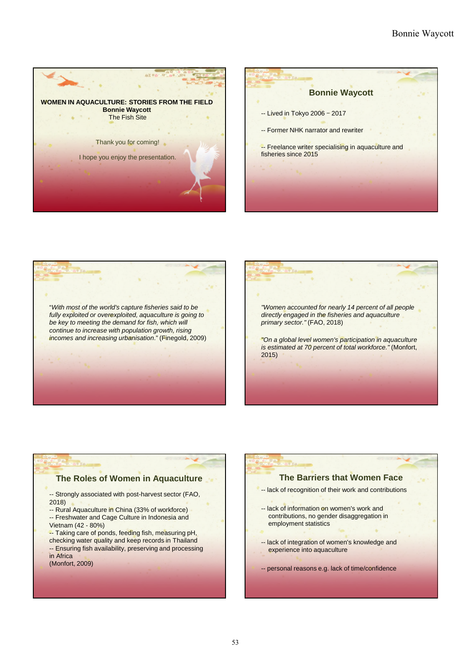



"*With most of the world's capture fisheries said to be fully exploited or overexploited, aquaculture is going to be key to meeting the demand for fish, which will continue to increase with population growth, rising incomes and increasing urbanisation*." (Finegold, 2009)



### **The Roles of Women in Aquaculture** -- Strongly associated with post-harvest sector (FAO, 2018) -- Rural Aquaculture in China (33% of workforce) -- Freshwater and Cage Culture in Indonesia and Vietnam (42 - 80%) -- Taking care of ponds, feeding fish, measuring pH, checking water quality and keep records in Thailand -- Ensuring fish availability, preserving and processing in Africa (Monfort, 2009)

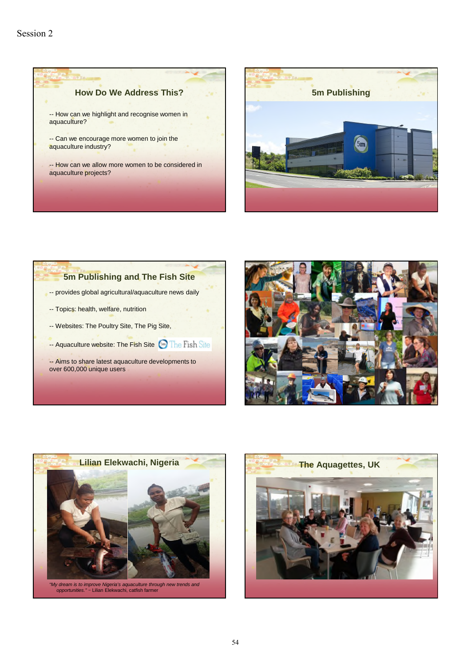









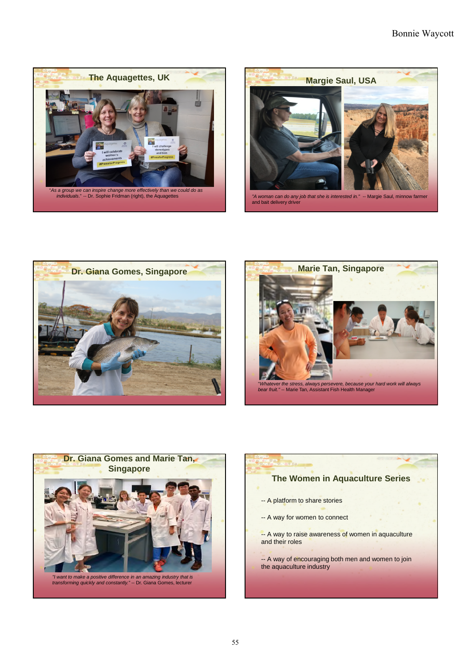